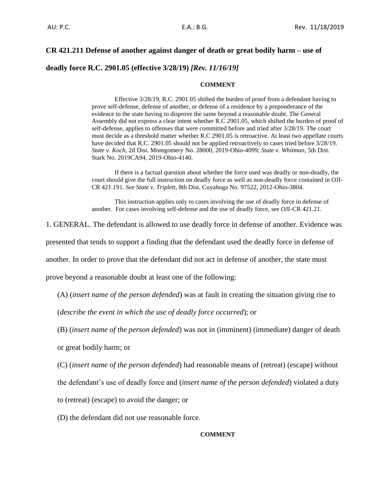# **CR 421.211 Defense of another against danger of death or great bodily harm – use of**

**deadly force R.C. 2901.05 (effective 3/28/19)** *[Rev. 11/16/19]*

## **COMMENT**

Effective 3/28/19, R.C. 2901.05 shifted the burden of proof from a defendant having to prove self-defense, defense of another, or defense of a residence by a preponderance of the evidence to the state having to disprove the same beyond a reasonable doubt. The General Assembly did not express a clear intent whether R.C 2901.05, which shifted the burden of proof of self-defense, applies to offenses that were committed before and tried after 3/28/19. The court must decide as a threshold matter whether R.C 2901.05 is retroactive. At least two appellate courts have decided that R.C. 2901.05 should not be applied retroactively to cases tried before 3/28/19. *State v. Koch*, 2d Dist. Montgomery No. 28000, 2019-Ohio-4099; *State v. Whitman*, 5th Dist. Stark No. 2019CA94, 2019-Ohio-4140.

If there is a factual question about whether the force used was deadly or non-deadly, the court should give the full instruction on deadly force as well as non-deadly force contained in OJI-CR 421.191. *See State v. Triplett*, 8th Dist. Cuyahoga No. 97522, 2012-Ohio-3804.

This instruction applies only to cases involving the use of deadly force in defense of another. For cases involving self-defense and the use of deadly force, see OJI-CR 421.21.

1. GENERAL. The defendant is allowed to use deadly force in defense of another. Evidence was

presented that tends to support a finding that the defendant used the deadly force in defense of

another. In order to prove that the defendant did not act in defense of another, the state must

prove beyond a reasonable doubt at least one of the following:

(A) (*insert name of the person defended*) was at fault in creating the situation giving rise to

(*describe the event in which the use of deadly force occurred*); or

(B) (*insert name of the person defended*) was not in (imminent) (immediate) danger of death

or great bodily harm; or

(C) (*insert name of the person defended*) had reasonable means of (retreat) (escape) without

the defendant's use of deadly force and (*insert name of the person defended*) violated a duty

to (retreat) (escape) to avoid the danger; or

(D) the defendant did not use reasonable force.

## **COMMENT**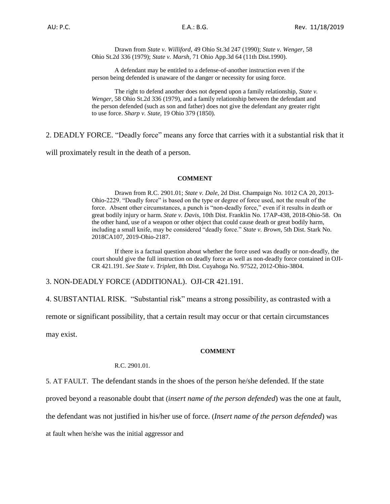Drawn from *State v. Williford*, 49 Ohio St.3d 247 (1990); *State v. Wenger*, 58 Ohio St.2d 336 (1979); *State v. Marsh*, 71 Ohio App.3d 64 (11th Dist.1990).

A defendant may be entitled to a defense-of-another instruction even if the person being defended is unaware of the danger or necessity for using force.

The right to defend another does not depend upon a family relationship, *State v. Wenger*, 58 Ohio St.2d 336 (1979), and a family relationship between the defendant and the person defended (such as son and father) does not give the defendant any greater right to use force. *Sharp v. State*, 19 Ohio 379 (1850).

2. DEADLY FORCE. "Deadly force" means any force that carries with it a substantial risk that it

will proximately result in the death of a person.

### **COMMENT**

Drawn from R.C. 2901.01; *State v. Dale,* 2d Dist. Champaign No. 1012 CA 20, 2013- Ohio-2229. "Deadly force" is based on the type or degree of force used, not the result of the force. Absent other circumstances, a punch is "non-deadly force," even if it results in death or great bodily injury or harm. *State v. Davis*, 10th Dist. Franklin No. 17AP-438, 2018-Ohio-58. On the other hand, use of a weapon or other object that could cause death or great bodily harm, including a small knife, may be considered "deadly force." *State v. Brown*, 5th Dist. Stark No. 2018CA107, 2019-Ohio-2187.

If there is a factual question about whether the force used was deadly or non-deadly, the court should give the full instruction on deadly force as well as non-deadly force contained in OJI-CR 421.191. *See State v. Triplett*, 8th Dist. Cuyahoga No. 97522, 2012-Ohio-3804.

3. NON-DEADLY FORCE (ADDITIONAL). OJI-CR 421.191.

4. SUBSTANTIAL RISK. "Substantial risk" means a strong possibility, as contrasted with a

remote or significant possibility, that a certain result may occur or that certain circumstances

may exist.

#### **COMMENT**

## R.C. 2901.01.

5. AT FAULT. The defendant stands in the shoes of the person he/she defended. If the state

proved beyond a reasonable doubt that (*insert name of the person defended*) was the one at fault,

the defendant was not justified in his/her use of force. (*Insert name of the person defended*) was

at fault when he/she was the initial aggressor and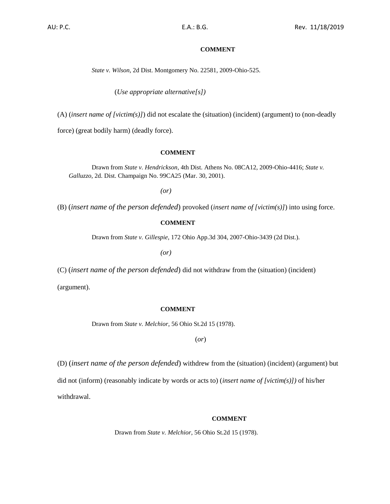## **COMMENT**

*State v. Wilson*, 2d Dist. Montgomery No. 22581, 2009-Ohio-525.

(*Use appropriate alternative[s])*

(A) (*insert name of [victim(s)]*) did not escalate the (situation) (incident) (argument) to (non-deadly

force) (great bodily harm) (deadly force).

#### **COMMENT**

Drawn from *State v. Hendrickson*, 4th Dist. Athens No. 08CA12, 2009-Ohio-4416; *State v. Galluzzo*, 2d. Dist. Champaign No. 99CA25 (Mar. 30, 2001).

*(or)*

(B) (*insert name of the person defended*) provoked (*insert name of [victim(s)]*) into using force.

## **COMMENT**

Drawn from *State v. Gillespie*, 172 Ohio App.3d 304, 2007-Ohio-3439 (2d Dist.).

*(or)*

(C) (*insert name of the person defended*) did not withdraw from the (situation) (incident)

(argument).

#### **COMMENT**

Drawn from *State v. Melchior*, 56 Ohio St.2d 15 (1978).

(*or*)

(D) (*insert name of the person defended*) withdrew from the (situation) (incident) (argument) but did not (inform) (reasonably indicate by words or acts to) (*insert name of [victim(s)])* of his/her

withdrawal.

### **COMMENT**

Drawn from *State v. Melchior*, 56 Ohio St.2d 15 (1978).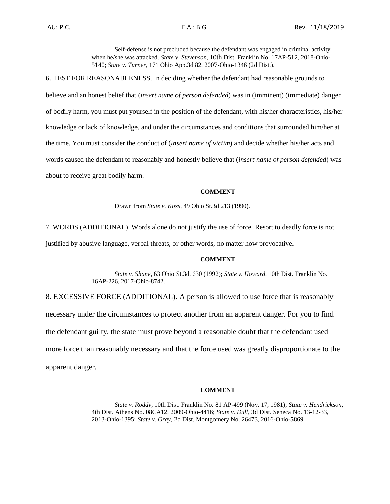Self-defense is not precluded because the defendant was engaged in criminal activity when he/she was attacked. *State v. Stevenson*, 10th Dist. Franklin No. 17AP-512, 2018-Ohio-5140; *State v. Turner*, 171 Ohio App.3d 82, 2007-Ohio-1346 (2d Dist.).

6. TEST FOR REASONABLENESS. In deciding whether the defendant had reasonable grounds to believe and an honest belief that (*insert name of person defended*) was in (imminent) (immediate) danger of bodily harm, you must put yourself in the position of the defendant, with his/her characteristics, his/her knowledge or lack of knowledge, and under the circumstances and conditions that surrounded him/her at the time. You must consider the conduct of (*insert name of victim*) and decide whether his/her acts and words caused the defendant to reasonably and honestly believe that (*insert name of person defended*) was about to receive great bodily harm.

#### **COMMENT**

Drawn from *State v. Koss*, 49 Ohio St.3d 213 (1990).

7. WORDS (ADDITIONAL). Words alone do not justify the use of force. Resort to deadly force is not justified by abusive language, verbal threats, or other words, no matter how provocative.

### **COMMENT**

*State v. Shane*, 63 Ohio St.3d. 630 (1992); *State v. Howard*, 10th Dist. Franklin No. 16AP-226, 2017-Ohio-8742.

8. EXCESSIVE FORCE (ADDITIONAL). A person is allowed to use force that is reasonably necessary under the circumstances to protect another from an apparent danger. For you to find the defendant guilty, the state must prove beyond a reasonable doubt that the defendant used more force than reasonably necessary and that the force used was greatly disproportionate to the apparent danger.

#### **COMMENT**

*State v. Roddy*, 10th Dist. Franklin No. 81 AP-499 (Nov. 17, 1981); *State v. Hendrickson*, 4th Dist. Athens No. 08CA12, 2009-Ohio-4416; *State v. Dull*, 3d Dist. Seneca No. 13-12-33, 2013-Ohio-1395; *State v. Gray,* 2d Dist. Montgomery No. 26473, 2016-Ohio-5869.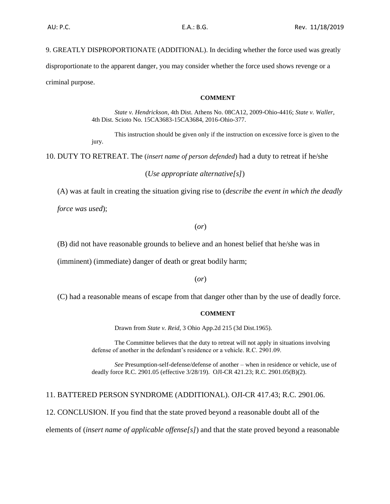9. GREATLY DISPROPORTIONATE (ADDITIONAL). In deciding whether the force used was greatly disproportionate to the apparent danger, you may consider whether the force used shows revenge or a criminal purpose.

### **COMMENT**

*State v. Hendrickson*, 4th Dist. Athens No. 08CA12, 2009-Ohio-4416; *State v. Waller*, 4th Dist. Scioto No. 15CA3683-15CA3684, 2016-Ohio-377.

This instruction should be given only if the instruction on excessive force is given to the jury.

10. DUTY TO RETREAT. The (*insert name of person defended*) had a duty to retreat if he/she

```
(Use appropriate alternative[s])
```
(A) was at fault in creating the situation giving rise to (*describe the event in which the deadly* 

*force was used*);

(*or*)

(B) did not have reasonable grounds to believe and an honest belief that he/she was in

(imminent) (immediate) danger of death or great bodily harm;

(*or*)

(C) had a reasonable means of escape from that danger other than by the use of deadly force.

## **COMMENT**

Drawn from *State v. Reid*, 3 Ohio App.2d 215 (3d Dist.1965).

The Committee believes that the duty to retreat will not apply in situations involving defense of another in the defendant's residence or a vehicle. R.C. 2901.09.

*See* Presumption-self-defense/defense of another – when in residence or vehicle, use of deadly force R.C. 2901.05 (effective 3/28/19). OJI-CR 421.23; R.C. 2901.05(B)(2).

# 11. BATTERED PERSON SYNDROME (ADDITIONAL). OJI-CR 417.43; R.C. 2901.06.

12. CONCLUSION. If you find that the state proved beyond a reasonable doubt all of the

elements of (*insert name of applicable offense[s]*) and that the state proved beyond a reasonable